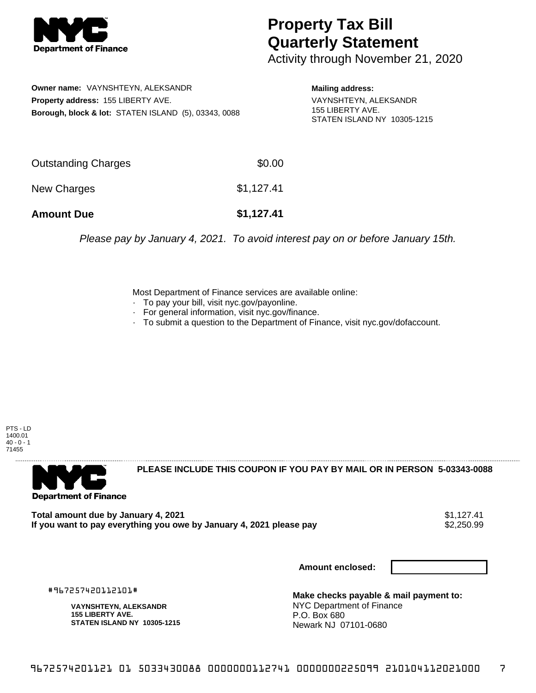

## **Property Tax Bill Quarterly Statement**

Activity through November 21, 2020

**Owner name:** VAYNSHTEYN, ALEKSANDR **Property address:** 155 LIBERTY AVE. **Borough, block & lot:** STATEN ISLAND (5), 03343, 0088

**Mailing address:** VAYNSHTEYN, ALEKSANDR 155 LIBERTY AVE. STATEN ISLAND NY 10305-1215

| <b>Amount Due</b>   | \$1,127.41 |
|---------------------|------------|
| New Charges         | \$1,127.41 |
| Outstanding Charges | \$0.00     |

Please pay by January 4, 2021. To avoid interest pay on or before January 15th.

Most Department of Finance services are available online:

- · To pay your bill, visit nyc.gov/payonline.
- For general information, visit nyc.gov/finance.
- · To submit a question to the Department of Finance, visit nyc.gov/dofaccount.

PTS - LD 1400.01  $40 - 0 - 1$ 71455



**PLEASE INCLUDE THIS COUPON IF YOU PAY BY MAIL OR IN PERSON 5-03343-0088** 

**Total amount due by January 4, 2021**<br>If you want to pay everything you owe by January 4, 2021 please pay **show that the set of the set of the set of** If you want to pay everything you owe by January 4, 2021 please pay

**Amount enclosed:**

#967257420112101#

**VAYNSHTEYN, ALEKSANDR 155 LIBERTY AVE. STATEN ISLAND NY 10305-1215**

**Make checks payable & mail payment to:** NYC Department of Finance P.O. Box 680 Newark NJ 07101-0680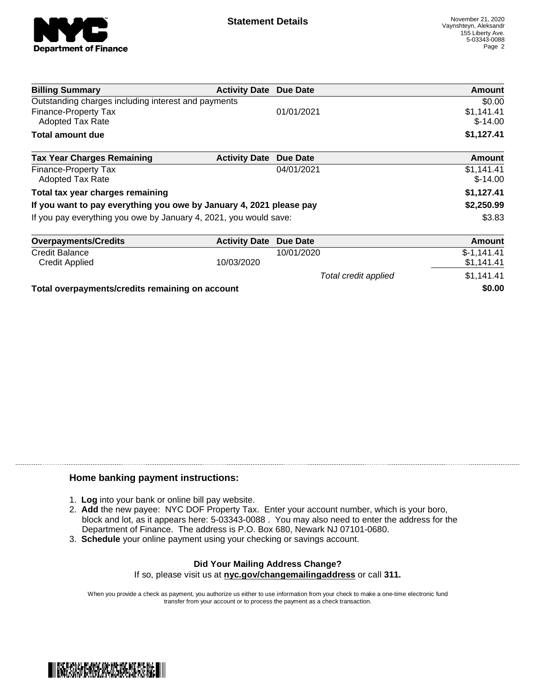

Total credit applied  $$1,141.41$ 

| <b>Billing Summary</b>                                              | <b>Activity Date Due Date</b> |            | Amount                  |
|---------------------------------------------------------------------|-------------------------------|------------|-------------------------|
| Outstanding charges including interest and payments                 |                               |            | \$0.00                  |
| Finance-Property Tax<br><b>Adopted Tax Rate</b>                     |                               | 01/01/2021 | \$1,141.41<br>$$-14.00$ |
| Total amount due                                                    |                               |            | \$1,127.41              |
| <b>Tax Year Charges Remaining</b>                                   | <b>Activity Date</b>          | Due Date   | Amount                  |
| Finance-Property Tax<br><b>Adopted Tax Rate</b>                     |                               | 04/01/2021 | \$1,141.41<br>$$-14.00$ |
| Total tax year charges remaining                                    |                               |            | \$1,127.41              |
| If you want to pay everything you owe by January 4, 2021 please pay |                               |            | \$2,250.99              |
| If you pay everything you owe by January 4, 2021, you would save:   |                               |            | \$3.83                  |
| <b>Overpayments/Credits</b>                                         | <b>Activity Date</b>          | Due Date   | Amount                  |
| <b>Credit Balance</b>                                               |                               | 10/01/2020 | $$-1,141.41$            |

Credit Applied 61,141.41 **51,141.41 10/03/2020 10/03/2020 51,141.41** 

**Total overpayments/credits remaining on account \$0.00**

## **Home banking payment instructions:**

- 1. **Log** into your bank or online bill pay website.
- 2. **Add** the new payee: NYC DOF Property Tax. Enter your account number, which is your boro, block and lot, as it appears here: 5-03343-0088 . You may also need to enter the address for the Department of Finance. The address is P.O. Box 680, Newark NJ 07101-0680.
- 3. **Schedule** your online payment using your checking or savings account.

## **Did Your Mailing Address Change?** If so, please visit us at **nyc.gov/changemailingaddress** or call **311.**

When you provide a check as payment, you authorize us either to use information from your check to make a one-time electronic fund

transfer from your account or to process the payment as a check transaction.